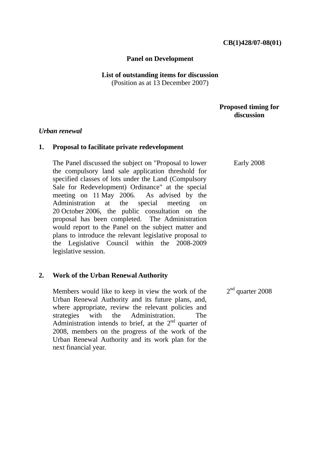## **Panel on Development**

#### **List of outstanding items for discussion**  (Position as at 13 December 2007)

# **Proposed timing for discussion**

### *Urban renewal*

## **1. Proposal to facilitate private redevelopment**

The Panel discussed the subject on "Proposal to lower the compulsory land sale application threshold for specified classes of lots under the Land (Compulsory Sale for Redevelopment) Ordinance" at the special meeting on 11 May 2006. As advised by the Administration at the special meeting on 20 October 2006, the public consultation on the proposal has been completed. The Administration would report to the Panel on the subject matter and plans to introduce the relevant legislative proposal to the Legislative Council within the 2008-2009 legislative session.

## **2. Work of the Urban Renewal Authority**

Members would like to keep in view the work of the Urban Renewal Authority and its future plans, and, where appropriate, review the relevant policies and strategies with the Administration. The Administration intends to brief, at the  $2<sup>nd</sup>$  quarter of 2008, members on the progress of the work of the Urban Renewal Authority and its work plan for the next financial year.

Early 2008

 $2<sup>nd</sup>$  quarter 2008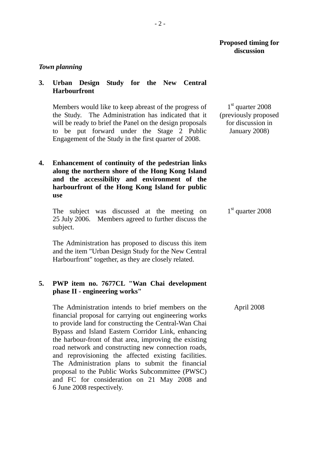## **Proposed timing for discussion**

#### *Town planning*

# **3. Urban Design Study for the New Central Harbourfront**

Members would like to keep abreast of the progress of the Study. The Administration has indicated that it will be ready to brief the Panel on the design proposals to be put forward under the Stage 2 Public Engagement of the Study in the first quarter of 2008.

**4. Enhancement of continuity of the pedestrian links along the northern shore of the Hong Kong Island and the accessibility and environment of the harbourfront of the Hong Kong Island for public use** 

The subject was discussed at the meeting on 25 July 2006. Members agreed to further discuss the subject.

The Administration has proposed to discuss this item and the item "Urban Design Study for the New Central Harbourfront" together, as they are closely related.

# **5. PWP item no. 7677CL "Wan Chai development phase II - engineering works"**

The Administration intends to brief members on the financial proposal for carrying out engineering works to provide land for constructing the Central-Wan Chai Bypass and Island Eastern Corridor Link, enhancing the harbour-front of that area, improving the existing road network and constructing new connection roads, and reprovisioning the affected existing facilities. The Administration plans to submit the financial proposal to the Public Works Subcommittee (PWSC) and FC for consideration on 21 May 2008 and 6 June 2008 respectively.

1<sup>st</sup> quarter 2008 (previously proposed for discussion in January 2008)

1<sup>st</sup> quarter 2008

April 2008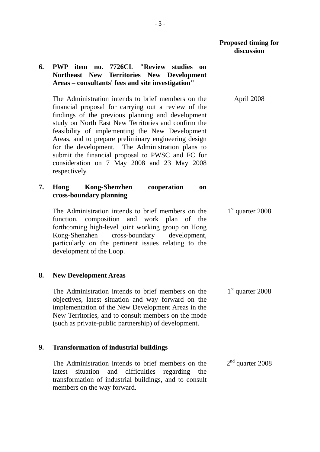April 2008

1<sup>st</sup> quarter 2008

1<sup>st</sup> quarter 2008

# **6. PWP item no. 7726CL "Review studies on Northeast New Territories New Development Areas – consultants' fees and site investigation"**

The Administration intends to brief members on the financial proposal for carrying out a review of the findings of the previous planning and development study on North East New Territories and confirm the feasibility of implementing the New Development Areas, and to prepare preliminary engineering design for the development. The Administration plans to submit the financial proposal to PWSC and FC for consideration on 7 May 2008 and 23 May 2008 respectively.

# **7. Hong Kong-Shenzhen cooperation on cross-boundary planning**

The Administration intends to brief members on the function, composition and work plan of the forthcoming high-level joint working group on Hong Kong-Shenzhen cross-boundary development, particularly on the pertinent issues relating to the development of the Loop.

## **8. New Development Areas**

The Administration intends to brief members on the objectives, latest situation and way forward on the implementation of the New Development Areas in the New Territories, and to consult members on the mode (such as private-public partnership) of development.

# **9. Transformation of industrial buildings**

The Administration intends to brief members on the latest situation and difficulties regarding the transformation of industrial buildings, and to consult members on the way forward. 2<sup>nd</sup> quarter 2008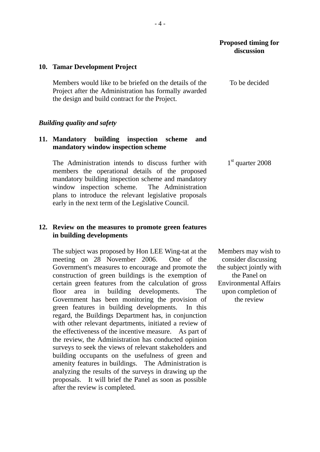### **10. Tamar Development Project**

Members would like to be briefed on the details of the Project after the Administration has formally awarded the design and build contract for the Project.

### *Building quality and safety*

# **11. Mandatory building inspection scheme and mandatory window inspection scheme**

 The Administration intends to discuss further with members the operational details of the proposed mandatory building inspection scheme and mandatory window inspection scheme. The Administration plans to introduce the relevant legislative proposals early in the next term of the Legislative Council.

# **12. Review on the measures to promote green features in building developments**

The subject was proposed by Hon LEE Wing-tat at the meeting on 28 November 2006. One of the Government's measures to encourage and promote the construction of green buildings is the exemption of certain green features from the calculation of gross floor area in building developments. The Government has been monitoring the provision of green features in building developments. In this regard, the Buildings Department has, in conjunction with other relevant departments, initiated a review of the effectiveness of the incentive measure. As part of the review, the Administration has conducted opinion surveys to seek the views of relevant stakeholders and building occupants on the usefulness of green and amenity features in buildings. The Administration is analyzing the results of the surveys in drawing up the proposals. It will brief the Panel as soon as possible after the review is completed.

To be decided

 $1<sup>st</sup>$  quarter 2008

Members may wish to consider discussing the subject jointly with the Panel on Environmental Affairs upon completion of the review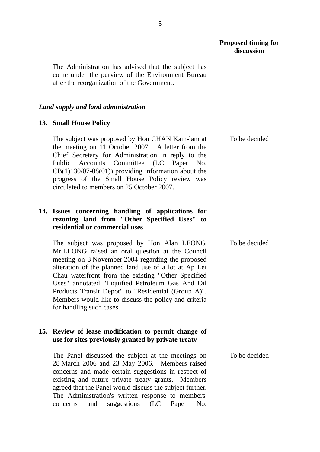To be decided

The Administration has advised that the subject has come under the purview of the Environment Bureau after the reorganization of the Government.

#### *Land supply and land administration*

#### **13. Small House Policy**

The subject was proposed by Hon CHAN Kam-lam at the meeting on 11 October 2007. A letter from the Chief Secretary for Administration in reply to the Public Accounts Committee (LC Paper No.  $CB(1)130/07-08(01)$  providing information about the progress of the Small House Policy review was circulated to members on 25 October 2007.

# **14. Issues concerning handling of applications for rezoning land from "Other Specified Uses" to residential or commercial uses**

The subject was proposed by Hon Alan LEONG. Mr LEONG raised an oral question at the Council meeting on 3 November 2004 regarding the proposed alteration of the planned land use of a lot at Ap Lei Chau waterfront from the existing "Other Specified Uses" annotated "Liquified Petroleum Gas And Oil Products Transit Depot" to "Residential (Group A)". Members would like to discuss the policy and criteria for handling such cases. To be decided

## **15. Review of lease modification to permit change of use for sites previously granted by private treaty**

The Panel discussed the subject at the meetings on 28 March 2006 and 23 May 2006. Members raised concerns and made certain suggestions in respect of existing and future private treaty grants. Members agreed that the Panel would discuss the subject further. The Administration's written response to members' concerns and suggestions (LC Paper No. To be decided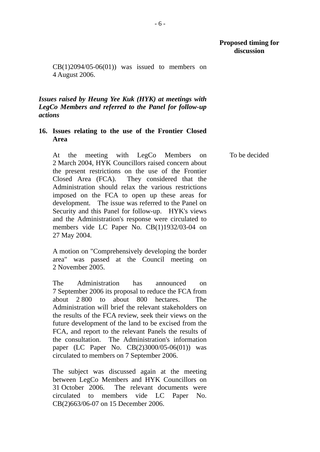## **Proposed timing for discussion**

To be decided

 $CB(1)2094/05-06(01))$  was issued to members on 4 August 2006.

*Issues raised by Heung Yee Kuk (HYK) at meetings with LegCo Members and referred to the Panel for follow-up actions* 

## **16. Issues relating to the use of the Frontier Closed Area**

At the meeting with LegCo Members on 2 March 2004, HYK Councillors raised concern about the present restrictions on the use of the Frontier Closed Area (FCA). They considered that the Administration should relax the various restrictions imposed on the FCA to open up these areas for development. The issue was referred to the Panel on Security and this Panel for follow-up. HYK's views and the Administration's response were circulated to members vide LC Paper No. CB(1)1932/03-04 on 27 May 2004.

A motion on "Comprehensively developing the border area" was passed at the Council meeting on 2 November 2005.

The Administration has announced on 7 September 2006 its proposal to reduce the FCA from about 2 800 to about 800 hectares. The Administration will brief the relevant stakeholders on the results of the FCA review, seek their views on the future development of the land to be excised from the FCA, and report to the relevant Panels the results of the consultation. The Administration's information paper (LC Paper No. CB(2)3000/05-06(01)) was circulated to members on 7 September 2006.

The subject was discussed again at the meeting between LegCo Members and HYK Councillors on 31 October 2006. The relevant documents were circulated to members vide LC Paper No. CB(2)663/06-07 on 15 December 2006.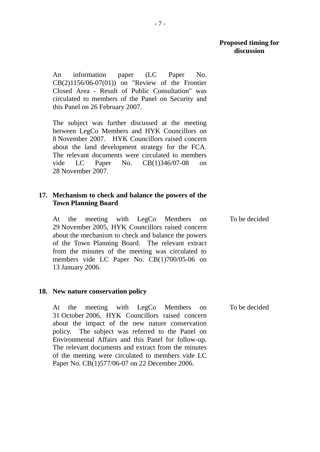To be decided

An information paper (LC Paper No. CB(2)1156/06-07(01)) on "Review of the Frontier Closed Area - Result of Public Consultation" was circulated to members of the Panel on Security and this Panel on 26 February 2007.

The subject was further discussed at the meeting between LegCo Members and HYK Councillors on 8 November 2007. HYK Councillors raised concern about the land development strategy for the FCA. The relevant documents were circulated to members vide LC Paper No. CB(1)346/07-08 on 28 November 2007.

# **17. Mechanism to check and balance the powers of the Town Planning Board**

At the meeting with LegCo Members on 29 November 2005, HYK Councillors raised concern about the mechanism to check and balance the powers of the Town Planning Board. The relevant extract from the minutes of the meeting was circulated to members vide LC Paper No. CB(1)700/05-06 on 13 January 2006.

## **18. New nature conservation policy**

At the meeting with LegCo Members on 31 October 2006, HYK Councillors raised concern about the impact of the new nature conservation policy. The subject was referred to the Panel on Environmental Affairs and this Panel for follow-up. The relevant documents and extract from the minutes of the meeting were circulated to members vide LC Paper No. CB(1)577/06-07 on 22 December 2006. To be decided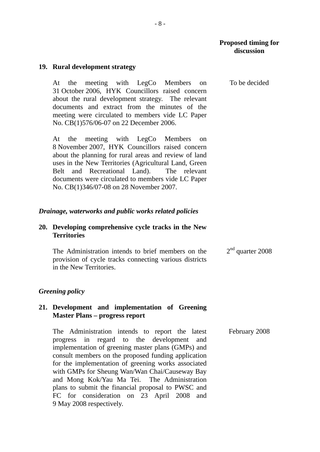To be decided

### **19. Rural development strategy**

At the meeting with LegCo Members on 31 October 2006, HYK Councillors raised concern about the rural development strategy. The relevant documents and extract from the minutes of the meeting were circulated to members vide LC Paper No. CB(1)576/06-07 on 22 December 2006.

At the meeting with LegCo Members on 8 November 2007, HYK Councillors raised concern about the planning for rural areas and review of land uses in the New Territories (Agricultural Land, Green Belt and Recreational Land). The relevant documents were circulated to members vide LC Paper No. CB(1)346/07-08 on 28 November 2007.

#### *Drainage, waterworks and public works related policies*

### **20. Developing comprehensive cycle tracks in the New Territories**

 The Administration intends to brief members on the provision of cycle tracks connecting various districts in the New Territories. 2<sup>nd</sup> quarter 2008

### *Greening policy*

### **21. Development and implementation of Greening Master Plans – progress report**

 The Administration intends to report the latest progress in regard to the development and implementation of greening master plans (GMPs) and consult members on the proposed funding application for the implementation of greening works associated with GMPs for Sheung Wan/Wan Chai/Causeway Bay and Mong Kok/Yau Ma Tei. The Administration plans to submit the financial proposal to PWSC and FC for consideration on 23 April 2008 and 9 May 2008 respectively. February 2008